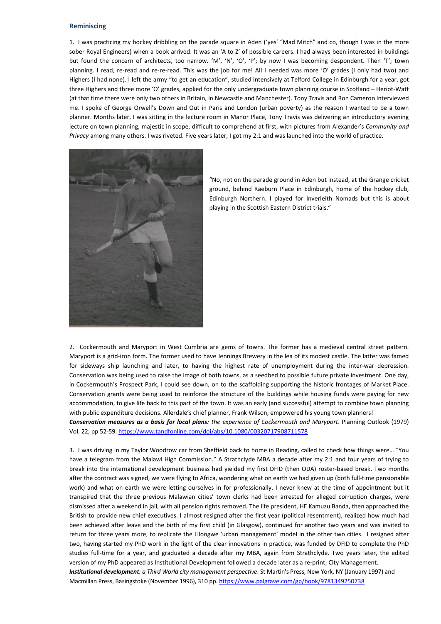## **Reminiscing**

1. I was practicing my hockey dribbling on the parade square in Aden ('yes' "Mad Mitch" and co, though I was in the more sober Royal Engineers) when a book arrived. It was an 'A to Z' of possible careers. I had always been interested in buildings but found the concern of architects, too narrow. 'M', 'N', 'O', 'P'; by now I was becoming despondent. Then 'T'; town planning. I read, re-read and re-re-read. This was the job for me! All I needed was more 'O' grades (I only had two) and Highers (I had none). I left the army "to get an education", studied intensively at Telford College in Edinburgh for a year, got three Highers and three more 'O' grades, applied for the only undergraduate town planning course in Scotland – Heriot-Watt (at that time there were only two others in Britain, in Newcastle and Manchester). Tony Travis and Ron Cameron interviewed me. I spoke of George Orwell's Down and Out in Paris and London (urban poverty) as the reason I wanted to be a town planner. Months later, I was sitting in the lecture room in Manor Place, Tony Travis was delivering an introductory evening lecture on town planning, majestic in scope, difficult to comprehend at first, with pictures from Alexander's *Community and Privacy* among many others. I was riveted. Five years later, I got my 2:1 and was launched into the world of practice.



"No, not on the parade ground in Aden but instead, at the Grange cricket ground, behind Raeburn Place in Edinburgh, home of the hockey club, Edinburgh Northern. I played for Inverleith Nomads but this is about playing in the Scottish Eastern District trials."

2. Cockermouth and Maryport in West Cumbria are gems of towns. The former has a medieval central street pattern. Maryport is a grid-iron form. The former used to have Jennings Brewery in the lea of its modest castle. The latter was famed for sideways ship launching and later, to having the highest rate of unemployment during the inter-war depression. Conservation was being used to raise the image of both towns, as a seedbed to possible future private investment. One day, in Cockermouth's Prospect Park, I could see down, on to the scaffolding supporting the historic frontages of Market Place. Conservation grants were being used to reinforce the structure of the buildings while housing funds were paying for new accommodation, to give life back to this part of the town. It was an early (and successful) attempt to combine town planning with public expenditure decisions. Allerdale's chief planner, Frank Wilson, empowered his young town planners! *Conservation measures as a basis for local plans: the experience of Cockermouth and Maryport*. Planning Outlook (1979) Vol. 22, pp 52-59. <https://www.tandfonline.com/doi/abs/10.1080/00320717908711578>

3. I was driving in my Taylor Woodrow car from Sheffield back to home in Reading, called to check how things were… "You have a telegram from the Malawi High Commission." A Strathclyde MBA a decade after my 2:1 and four years of trying to break into the international development business had yielded my first DFID (then ODA) roster-based break. Two months after the contract was signed, we were flying to Africa, wondering what on earth we had given up (both full-time pensionable work) and what on earth we were letting ourselves in for professionally. I never knew at the time of appointment but it transpired that the three previous Malawian cities' town clerks had been arrested for alleged corruption charges, were dismissed after a weekend in jail, with all pension rights removed. The life president, HE Kamuzu Banda, then approached the British to provide new chief executives. I almost resigned after the first year (political resentment), realized how much had been achieved after leave and the birth of my first child (in Glasgow), continued for another two years and was invited to return for three years more, to replicate the Lilongwe 'urban management' model in the other two cities. I resigned after two, having started my PhD work in the light of the clear innovations in practice, was funded by DFID to complete the PhD studies full-time for a year, and graduated a decade after my MBA, again from Strathclyde. Two years later, the edited version of my PhD appeared as Institutional Development followed a decade later as a re-print; City Management. *Institutional development: a Third World city management perspective*. St Martin's Press, New York, NY (January 1997) and Macmillan Press, Basingstoke (November 1996), 310 pp. <https://www.palgrave.com/gp/book/9781349250738>